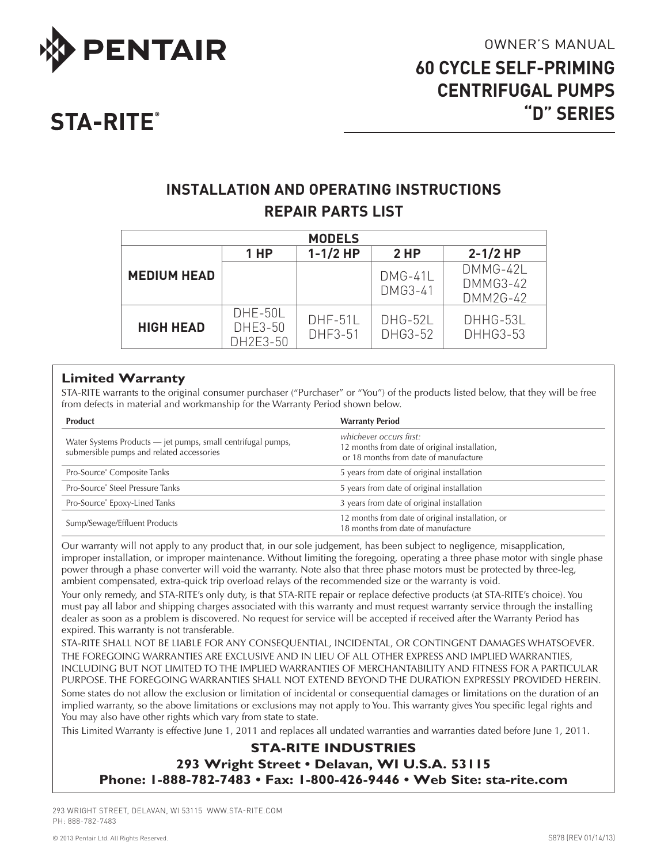

# **STA-RITE®**

# **INSTALLATION AND OPERATING INSTRUCTIONS REPAIR PARTS LIST**

| <b>MODELS</b>      |                                |                      |                      |                                         |  |
|--------------------|--------------------------------|----------------------|----------------------|-----------------------------------------|--|
|                    | 1 HP                           | $1 - 1/2$ HP         | 2HP                  | $2 - 1/2$ HP                            |  |
| <b>MEDIUM HEAD</b> |                                |                      | $DMG-41L$<br>DMG3-41 | DMMG-42L<br><b>DMMG3-42</b><br>DMM2G-42 |  |
| <b>HIGH HEAD</b>   | DHE-50L<br>DHE3-50<br>DH2E3-50 | $DHF-51L$<br>DHF3-51 | DHG-52L<br>DHG3-52   | DHHG-53L<br><b>DHHG3-53</b>             |  |

## **Limited Warranty**

STA-RITE warrants to the original consumer purchaser ("Purchaser" or "You") of the products listed below, that they will be free from defects in material and workmanship for the Warranty Period shown below.

| <b>Product</b>                                                                                            | <b>Warranty Period</b>                                                                                            |  |  |
|-----------------------------------------------------------------------------------------------------------|-------------------------------------------------------------------------------------------------------------------|--|--|
| Water Systems Products - jet pumps, small centrifugal pumps,<br>submersible pumps and related accessories | whichever occurs first:<br>12 months from date of original installation,<br>or 18 months from date of manufacture |  |  |
| Pro-Source® Composite Tanks                                                                               | 5 years from date of original installation                                                                        |  |  |
| Pro-Source® Steel Pressure Tanks                                                                          | 5 years from date of original installation                                                                        |  |  |
| Pro-Source® Epoxy-Lined Tanks                                                                             | 3 years from date of original installation                                                                        |  |  |
| Sump/Sewage/Effluent Products                                                                             | 12 months from date of original installation, or<br>18 months from date of manufacture                            |  |  |

Our warranty will not apply to any product that, in our sole judgement, has been subject to negligence, misapplication, improper installation, or improper maintenance. Without limiting the foregoing, operating a three phase motor with single phase power through a phase converter will void the warranty. Note also that three phase motors must be protected by three-leg, ambient compensated, extra-quick trip overload relays of the recommended size or the warranty is void.

Your only remedy, and STA-RITE's only duty, is that STA-RITE repair or replace defective products (at STA-RITE's choice). You must pay all labor and shipping charges associated with this warranty and must request warranty service through the installing dealer as soon as a problem is discovered. No request for service will be accepted if received after the Warranty Period has expired. This warranty is not transferable.

STA-RITE SHALL NOT BE LIABLE FOR ANY CONSEQUENTIAL, INCIDENTAL, OR CONTINGENT DAMAGES WHATSOEVER. THE FOREGOING WARRANTIES ARE EXCLUSIVE AND IN LIEU OF ALL OTHER EXPRESS AND IMPLIED WARRANTIES, INCLUDING BUT NOT LIMITED TO THE IMPLIED WARRANTIES OF MERCHANTABILITY AND FITNESS FOR A PARTICULAR PURPOSE. THE FOREGOING WARRANTIES SHALL NOT EXTEND BEYOND THE DURATION EXPRESSLY PROVIDED HEREIN. Some states do not allow the exclusion or limitation of incidental or consequential damages or limitations on the duration of an

implied warranty, so the above limitations or exclusions may not apply to You. This warranty gives You specific legal rights and You may also have other rights which vary from state to state.

This Limited Warranty is effective June 1, 2011 and replaces all undated warranties and warranties dated before June 1, 2011.

## **STA-RITE INDUSTRIES**

**293 Wright Street • Delavan, WI U.S.A. 53115 Phone: 1-888-782-7483 • Fax: 1-800-426-9446 • Web Site: sta-rite.com**

293 WRIGHT STREET, DELAVAN, WI 53115 WWW.sta-rite.COM PH: 888-782-7483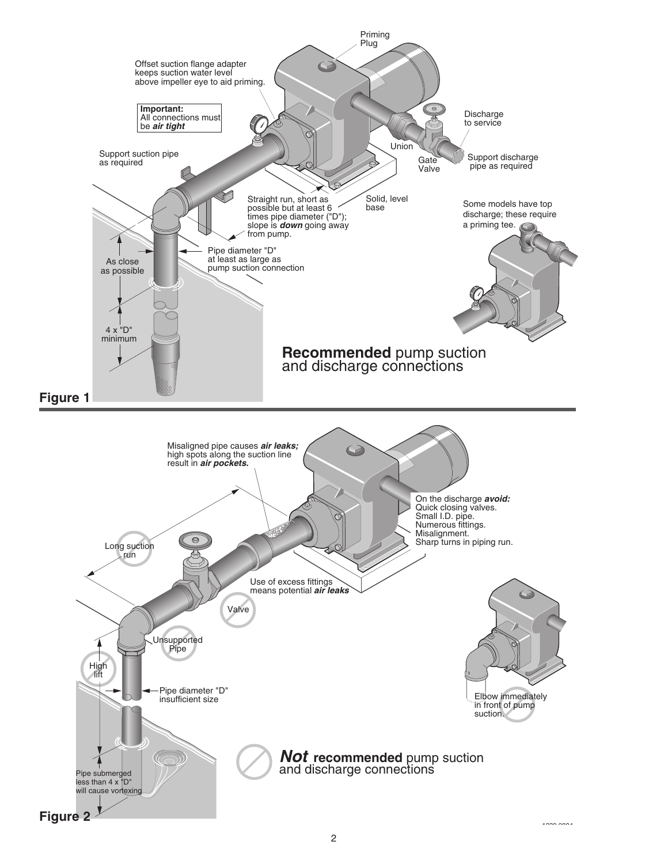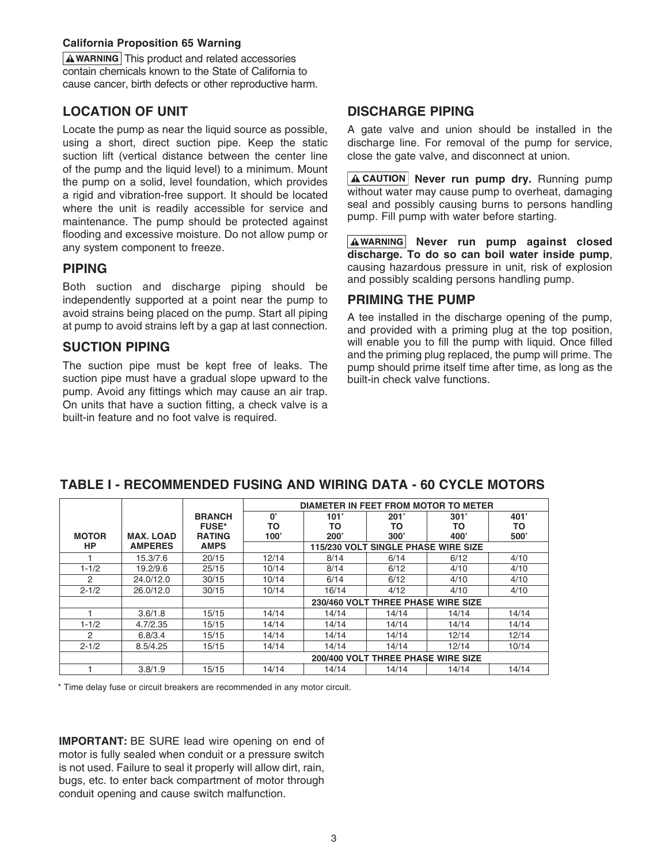#### **California Proposition 65 Warning**

 $\Delta$  WARNING This product and related accessories contain chemicals known to the State of California to cause cancer, birth defects or other reproductive harm.

### **LOCATION OF UNIT**

Locate the pump as near the liquid source as possible, using a short, direct suction pipe. Keep the static suction lift (vertical distance between the center line of the pump and the liquid level) to a minimum. Mount the pump on a solid, level foundation, which provides a rigid and vibration-free support. It should be located where the unit is readily accessible for service and maintenance. The pump should be protected against flooding and excessive moisture. Do not allow pump or any system component to freeze.

#### **PIPING**

Both suction and discharge piping should be independently supported at a point near the pump to avoid strains being placed on the pump. Start all piping at pump to avoid strains left by a gap at last connection.

### **SUCTION PIPING**

The suction pipe must be kept free of leaks. The suction pipe must have a gradual slope upward to the pump. Avoid any fittings which may cause an air trap. On units that have a suction fitting, a check valve is a built-in feature and no foot valve is required.

### **DISCHARGE PIPING**

A gate valve and union should be installed in the discharge line. For removal of the pump for service, close the gate valve, and disconnect at union.

**A CAUTION** Never run pump dry. Running pump without water may cause pump to overheat, damaging seal and possibly causing burns to persons handling pump. Fill pump with water before starting.

A WARNING Never run pump against closed **discharge. To do so can boil water inside pump**, causing hazardous pressure in unit, risk of explosion and possibly scalding persons handling pump.

#### **PRIMING THE PUMP**

A tee installed in the discharge opening of the pump, and provided with a priming plug at the top position, will enable you to fill the pump with liquid. Once filled and the priming plug replaced, the pump will prime. The pump should prime itself time after time, as long as the built-in check valve functions.

|                |                  |               | DIAMETER IN FEET FROM MOTOR TO METER |       |                                     |       |       |
|----------------|------------------|---------------|--------------------------------------|-------|-------------------------------------|-------|-------|
|                |                  | <b>BRANCH</b> | $\mathbf{0}^{\prime}$                | 101'  | 201'                                | 301'  | 401'  |
|                |                  | <b>FUSE*</b>  | ΤО                                   | ΤО    | то                                  | ТΟ    | то    |
| <b>MOTOR</b>   | <b>MAX. LOAD</b> | <b>RATING</b> | 100'                                 | 200'  | 300'                                | 400'  | 500'  |
| HP             | <b>AMPERES</b>   | <b>AMPS</b>   |                                      |       | 115/230 VOLT SINGLE PHASE WIRE SIZE |       |       |
|                | 15.3/7.6         | 20/15         | 12/14                                | 8/14  | 6/14                                | 6/12  | 4/10  |
| $1 - 1/2$      | 19.2/9.6         | 25/15         | 10/14                                | 8/14  | 6/12                                | 4/10  | 4/10  |
| $\mathfrak{p}$ | 24.0/12.0        | 30/15         | 10/14                                | 6/14  | 6/12                                | 4/10  | 4/10  |
| $2 - 1/2$      | 26.0/12.0        | 30/15         | 10/14                                | 16/14 | 4/12                                | 4/10  | 4/10  |
|                |                  |               |                                      |       | 230/460 VOLT THREE PHASE WIRE SIZE  |       |       |
|                | 3.6/1.8          | 15/15         | 14/14                                | 14/14 | 14/14                               | 14/14 | 14/14 |
| $1 - 1/2$      | 4.7/2.35         | 15/15         | 14/14                                | 14/14 | 14/14                               | 14/14 | 14/14 |
| 2              | 6.8/3.4          | 15/15         | 14/14                                | 14/14 | 14/14                               | 12/14 | 12/14 |
| $2 - 1/2$      | 8.5/4.25         | 15/15         | 14/14                                | 14/14 | 14/14                               | 12/14 | 10/14 |
|                |                  |               |                                      |       | 200/400 VOLT THREE PHASE WIRE SIZE  |       |       |
|                | 3.8/1.9          | 15/15         | 14/14                                | 14/14 | 14/14                               | 14/14 | 14/14 |

## **TABLE I - RECOMMENDED FUSING AND WIRING DATA - 60 CYCLE MOTORS**

\* Time delay fuse or circuit breakers are recommended in any motor circuit.

**IMPORTANT:** BE SURE lead wire opening on end of motor is fully sealed when conduit or a pressure switch is not used. Failure to seal it properly will allow dirt, rain, bugs, etc. to enter back compartment of motor through conduit opening and cause switch malfunction.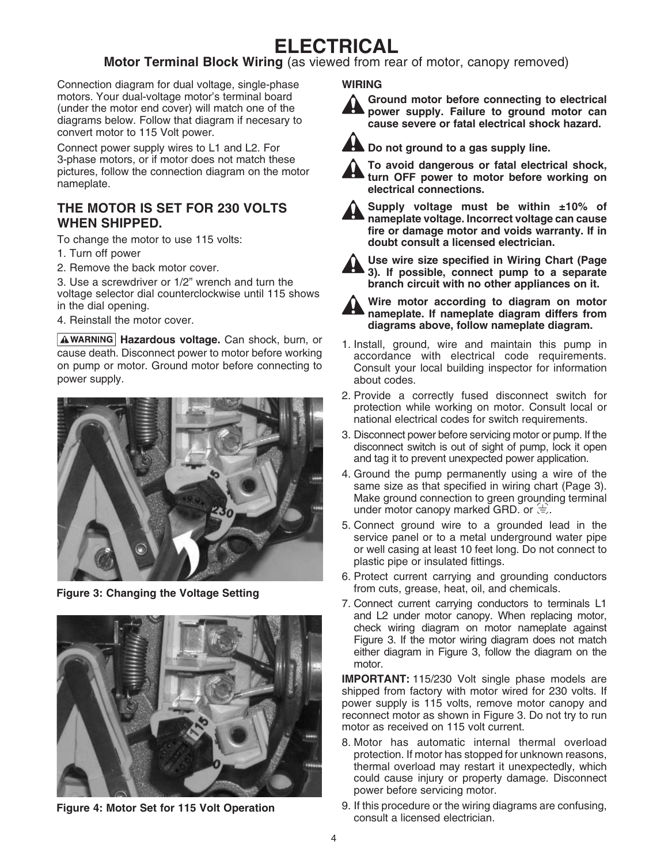# **ELECTRICAL**

## **Motor Terminal Block Wiring** (as viewed from rear of motor, canopy removed)

Connection diagram for dual voltage, single-phase motors. Your dual-voltage motor's terminal board (under the motor end cover) will match one of the diagrams below. Follow that diagram if necesary to convert motor to 115 Volt power.

Connect power supply wires to L1 and L2. For 3-phase motors, or if motor does not match these pictures, follow the connection diagram on the motor nameplate.

## **The motor is set for 230 volts when shipped.**

To change the motor to use 115 volts:

- 1. Turn off power
- 2. Remove the back motor cover.

3. Use a screwdriver or 1/2" wrench and turn the voltage selector dial counterclockwise until 115 shows in the dial opening.

4. Reinstall the motor cover.

**AWARNING Hazardous voltage.** Can shock, burn, or cause death. Disconnect power to motor before working on pump or motor. Ground motor before connecting to power supply.



**Figure 3: Changing the Voltage Setting**



**Figure 4: Motor Set for 115 Volt Operation**

#### **WIRING**

**Ground motor before connecting to electrical power supply. Failure to ground motor can cause severe or fatal electrical shock hazard.**



**Do not ground to a gas supply line. To avoid dangerous or fatal electrical shock,** 

**turn OFF power to motor before working on electrical connections.**



**Supply voltage must be within ±10% of nameplate voltage. Incorrect voltage can cause fire or damage motor and voids warranty. If in doubt consult a licensed electrician.**



**Use wire size specified in Wiring Chart (Page 3). If possible, connect pump to a separate branch circuit with no other appliances on it.**



**Wire motor according to diagram on motor nameplate. If nameplate diagram differs from diagrams above, follow nameplate diagram.**

- 1. Install, ground, wire and maintain this pump in accordance with electrical code requirements. Consult your local building inspector for information about codes.
- 2. Provide a correctly fused disconnect switch for protection while working on motor. Consult local or national electrical codes for switch requirements.
- 3. Disconnect power before servicing motor or pump. If the disconnect switch is out of sight of pump, lock it open and tag it to prevent unexpected power application.
- 4. Ground the pump permanently using a wire of the same size as that specified in wiring chart (Page 3). Make ground connection to green grounding terminal under motor canopy marked GRD. or  $\equiv$ .
- 5. Connect ground wire to a grounded lead in the service panel or to a metal underground water pipe or well casing at least 10 feet long. Do not connect to plastic pipe or insulated fittings.
- 6. Protect current carrying and grounding conductors from cuts, grease, heat, oil, and chemicals.
- 7. Connect current carrying conductors to terminals L1 and L2 under motor canopy. When replacing motor, check wiring diagram on motor nameplate against Figure 3. If the motor wiring diagram does not match either diagram in Figure 3, follow the diagram on the motor.

**IMPORTANT:** 115/230 Volt single phase models are shipped from factory with motor wired for 230 volts. If power supply is 115 volts, remove motor canopy and reconnect motor as shown in Figure 3. Do not try to run motor as received on 115 volt current.

- 8. Motor has automatic internal thermal overload protection. If motor has stopped for unknown reasons, thermal overload may restart it unexpectedly, which could cause injury or property damage. Disconnect power before servicing motor.
- 9. If this procedure or the wiring diagrams are confusing, consult a licensed electrician.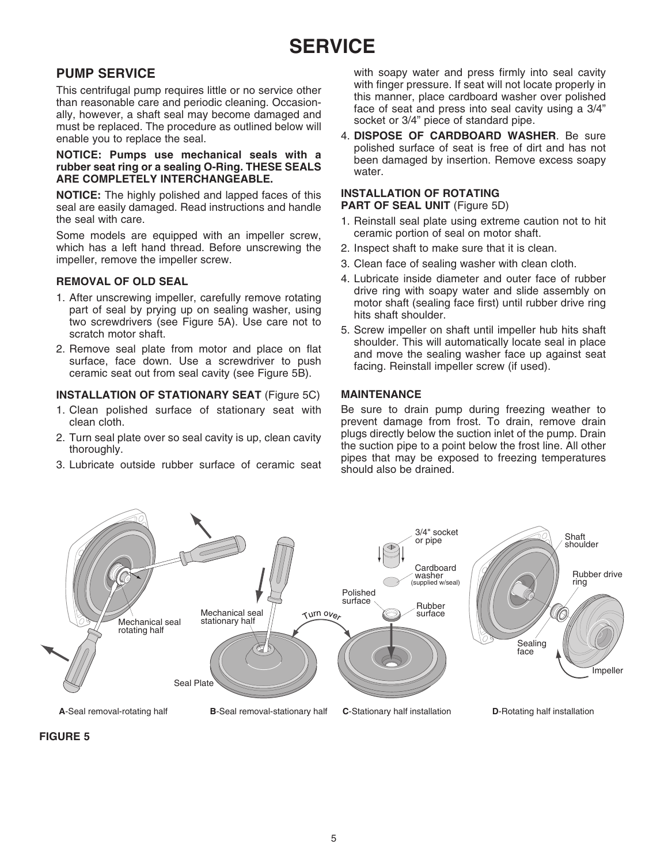## **PUMP SERVICE**

This centrifugal pump requires little or no service other than reasonable care and periodic cleaning. Occasionally, however, a shaft seal may become damaged and must be replaced. The procedure as outlined below will enable you to replace the seal.

#### **NOTICE: Pumps use mechanical seals with a rubber seat ring or a sealing O-Ring. THESE SEALS ARE COMPLETELY INTERCHANGEABLE.**

**NOTICE:** The highly polished and lapped faces of this seal are easily damaged. Read instructions and handle the seal with care.

Some models are equipped with an impeller screw, which has a left hand thread. Before unscrewing the impeller, remove the impeller screw.

#### **Removal of Old Seal**

- 1. After unscrewing impeller, carefully remove rotating part of seal by prying up on sealing washer, using two screwdrivers (see Figure 5A). Use care not to scratch motor shaft.
- 2. Remove seal plate from motor and place on flat surface, face down. Use a screwdriver to push ceramic seat out from seal cavity (see Figure 5B).

#### **Installation of STATIONARY Seat** (Figure 5C)

- 1. Clean polished surface of stationary seat with clean cloth.
- 2. Turn seal plate over so seal cavity is up, clean cavity thoroughly.
- 3. Lubricate outside rubber surface of ceramic seat

with soapy water and press firmly into seal cavity with finger pressure. If seat will not locate properly in this manner, place cardboard washer over polished face of seat and press into seal cavity using a 3/4" socket or 3/4" piece of standard pipe.

4. **Dispose of cardboard washer**. Be sure polished surface of seat is free of dirt and has not been damaged by insertion. Remove excess soapy water.

#### **Installation of Rotating**

**PART OF SEAL UNIT (Figure 5D)** 

- 1. Reinstall seal plate using extreme caution not to hit ceramic portion of seal on motor shaft.
- 2. Inspect shaft to make sure that it is clean.
- 3. Clean face of sealing washer with clean cloth.
- 4. Lubricate inside diameter and outer face of rubber drive ring with soapy water and slide assembly on motor shaft (sealing face first) until rubber drive ring hits shaft shoulder.
- 5. Screw impeller on shaft until impeller hub hits shaft shoulder. This will automatically locate seal in place and move the sealing washer face up against seat facing. Reinstall impeller screw (if used).

#### **MAINTENANCE**

Be sure to drain pump during freezing weather to prevent damage from frost. To drain, remove drain plugs directly below the suction inlet of the pump. Drain the suction pipe to a point below the frost line. All other pipes that may be exposed to freezing temperatures should also be drained.



#### **FIGURE 5**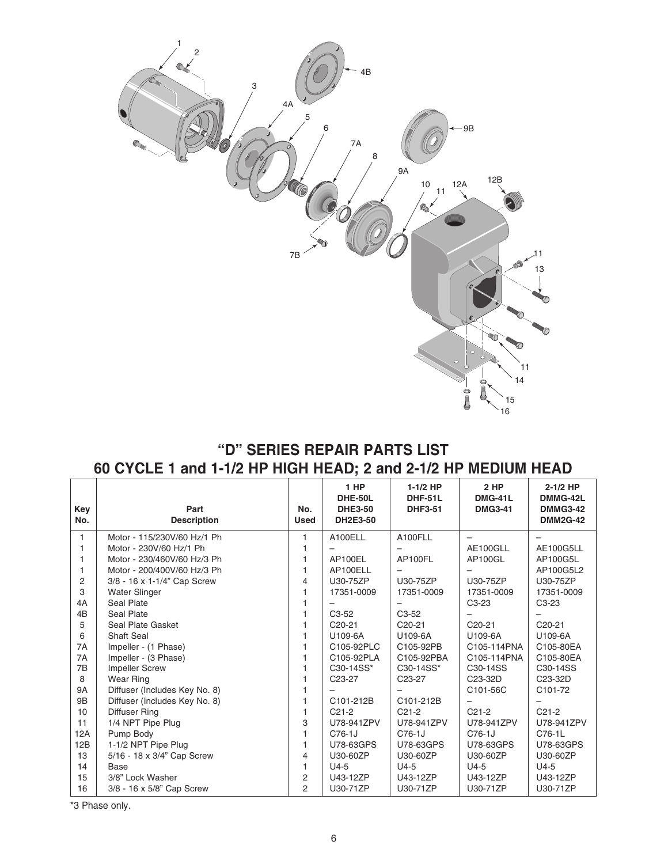

## **"D" SERIES REPAIR PARTS LIST 60 CYCLE 1 and 1-1/2 HP HIGH HEAD; 2 and 2-1/2 HP MEDIUM HEAD**

| Key<br>No.     | Part<br><b>Description</b>    | No.<br><b>Used</b> | 1 HP<br><b>DHE-50L</b><br><b>DHE3-50</b><br>DH2E3-50 | $1-1/2$ HP<br><b>DHF-51L</b><br><b>DHF3-51</b> | 2 HP<br><b>DMG-41L</b><br><b>DMG3-41</b> | $2-1/2$ HP<br>DMMG-42L<br><b>DMMG3-42</b><br><b>DMM2G-42</b> |
|----------------|-------------------------------|--------------------|------------------------------------------------------|------------------------------------------------|------------------------------------------|--------------------------------------------------------------|
|                |                               |                    |                                                      |                                                |                                          |                                                              |
| 1              | Motor - 115/230V/60 Hz/1 Ph   |                    | A100ELL                                              | A100FLL                                        |                                          |                                                              |
| 1              | Motor - 230V/60 Hz/1 Ph       |                    |                                                      |                                                | AE100GLL                                 | <b>AE100G5LL</b>                                             |
| 1              | Motor - 230/460V/60 Hz/3 Ph   |                    | AP100EL                                              | AP100FL                                        | AP100GL                                  | AP100G5L                                                     |
| 1              | Motor - 200/400V/60 Hz/3 Ph   |                    | AP100ELL                                             |                                                |                                          | AP100G5L2                                                    |
| $\overline{2}$ | 3/8 - 16 x 1-1/4" Cap Screw   | 4                  | U30-75ZP                                             | U30-75ZP                                       | U30-75ZP                                 | U30-75ZP                                                     |
| 3              | <b>Water Slinger</b>          |                    | 17351-0009                                           | 17351-0009                                     | 17351-0009                               | 17351-0009                                                   |
| 4A             | <b>Seal Plate</b>             |                    |                                                      |                                                | $C3-23$                                  | $C3-23$                                                      |
| 4B             | Seal Plate                    |                    | $C3-52$                                              | $C3-52$                                        |                                          |                                                              |
| 5              | Seal Plate Gasket             |                    | $C20-21$                                             | $C20-21$                                       | $C20-21$                                 | C <sub>20</sub> -21                                          |
| 6              | <b>Shaft Seal</b>             |                    | U109-6A                                              | U109-6A                                        | U109-6A                                  | U109-6A                                                      |
| 7A             | Impeller - (1 Phase)          |                    | C105-92PLC                                           | C105-92PB                                      | C105-114PNA                              | C105-80EA                                                    |
| 7A             | Impeller - (3 Phase)          |                    | C105-92PLA                                           | C105-92PBA                                     | C105-114PNA                              | C105-80EA                                                    |
| 7B             | <b>Impeller Screw</b>         |                    | C30-14SS*                                            | C30-14SS*                                      | C <sub>30</sub> -14SS                    | C30-14SS                                                     |
| 8              | <b>Wear Ring</b>              |                    | C <sub>23</sub> -27                                  | C <sub>23</sub> -27                            | C <sub>23</sub> -3 <sub>2</sub> D        | C23-32D                                                      |
| <b>9A</b>      | Diffuser (Includes Key No. 8) |                    |                                                      |                                                | C101-56C                                 | C <sub>101</sub> -72                                         |
| 9B             | Diffuser (Includes Key No. 8) |                    | C101-212B                                            | C101-212B                                      |                                          |                                                              |
| 10             | Diffuser Ring                 |                    | $C21-2$                                              | $C21-2$                                        | $C21-2$                                  | $C21-2$                                                      |
| 11             | 1/4 NPT Pipe Plug             | 3                  | U78-941ZPV                                           | U78-941ZPV                                     | U78-941ZPV                               | U78-941ZPV                                                   |
| 12A            | Pump Body                     |                    | C76-1J                                               | C76-1J                                         | C76-1J                                   | C76-1L                                                       |
| 12B            | 1-1/2 NPT Pipe Plug           |                    | U78-63GPS                                            | U78-63GPS                                      | U78-63GPS                                | U78-63GPS                                                    |
| 13             | 5/16 - 18 x 3/4" Cap Screw    | 4                  | U30-60ZP                                             | U30-60ZP                                       | U30-60ZP                                 | U30-60ZP                                                     |
| 14             | Base                          | 1                  | $U4-5$                                               | $U4-5$                                         | $U4-5$                                   | $U4-5$                                                       |
| 15             | 3/8" Lock Washer              | 2                  | U43-12ZP                                             | U43-12ZP                                       | U43-12ZP                                 | U43-12ZP                                                     |
| 16             | 3/8 - 16 x 5/8" Cap Screw     | 2                  | U30-71ZP                                             | U30-71ZP                                       | U30-71ZP                                 | U30-71ZP                                                     |

\*3 Phase only.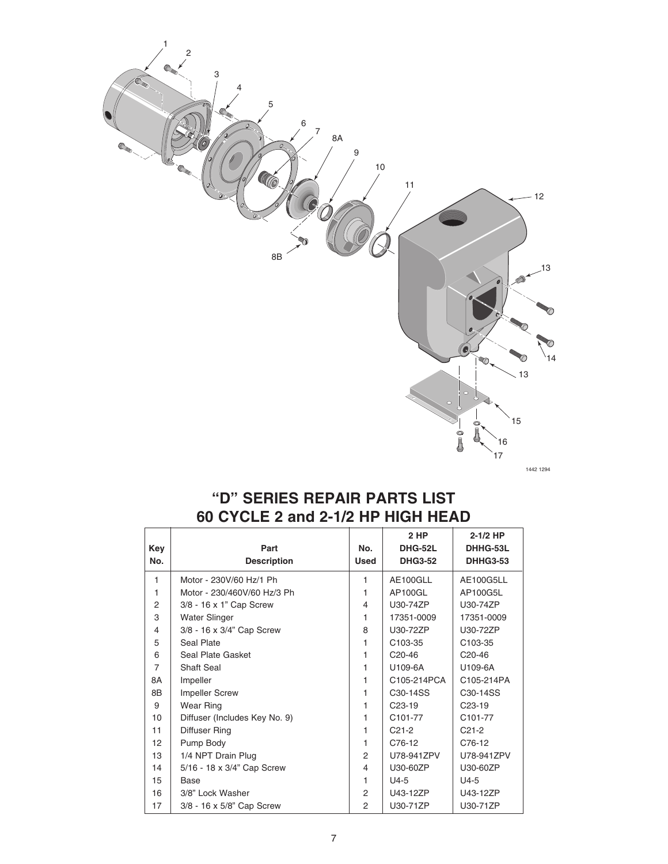

1442 1294

## **"D" SERIES REPAIR PARTS LIST 60 CYCLE 2 and 2-1/2 HP HIGH HEAD**

| Key<br>No.     | Part<br><b>Description</b>    | No.<br><b>Used</b> | 2 HP<br><b>DHG-52L</b><br><b>DHG3-52</b> | $2-1/2$ HP<br>DHHG-53L<br><b>DHHG3-53</b> |
|----------------|-------------------------------|--------------------|------------------------------------------|-------------------------------------------|
| $\mathbf{1}$   | Motor - 230V/60 Hz/1 Ph       | 1                  | AE100GLL                                 | AE100G5LL                                 |
| 1              | Motor - 230/460V/60 Hz/3 Ph   | 1                  | AP100GL                                  | AP100G5L                                  |
| 2              | 3/8 - 16 x 1" Cap Screw       | $\overline{4}$     | U30-74ZP                                 | U30-74ZP                                  |
| 3              | <b>Water Slinger</b>          | 1                  | 17351-0009                               | 17351-0009                                |
| 4              | 3/8 - 16 x 3/4" Cap Screw     | 8                  | U30-72ZP                                 | U30-72ZP                                  |
| 5              | Seal Plate                    | 1                  | C <sub>103-35</sub>                      | C <sub>103</sub> -35                      |
| 6              | Seal Plate Gasket             | 1                  | $C20-46$                                 | C <sub>20</sub> -46                       |
| $\overline{7}$ | <b>Shaft Seal</b>             | 1                  | U109-6A                                  | U109-6A                                   |
| 8A             | Impeller                      | 1                  | C105-214PCA                              | C105-214PA                                |
| 8B             | <b>Impeller Screw</b>         | 1                  | C <sub>30</sub> -14 <sub>SS</sub>        | C <sub>30</sub> -14 <sub>SS</sub>         |
| 9              | Wear Ring                     | 1                  | $C23-19$                                 | $C23-19$                                  |
| 10             | Diffuser (Includes Key No. 9) | 1                  | C101-77                                  | C101-77                                   |
| 11             | Diffuser Ring                 | 1                  | $C21-2$                                  | $C21-2$                                   |
| 12             | Pump Body                     | 1                  | C76-12                                   | C76-12                                    |
| 13             | 1/4 NPT Drain Plug            | 2                  | U78-941ZPV                               | U78-941ZPV                                |
| 14             | 5/16 - 18 x 3/4" Cap Screw    | 4                  | U30-60ZP                                 | U30-60ZP                                  |
| 15             | Base                          | 1                  | $U4-5$                                   | $U4-5$                                    |
| 16             | 3/8" Lock Washer              | 2                  | U43-12ZP                                 | U43-12ZP                                  |
| 17             | 3/8 - 16 x 5/8" Cap Screw     | $\overline{2}$     | U30-71ZP                                 | U30-71ZP                                  |